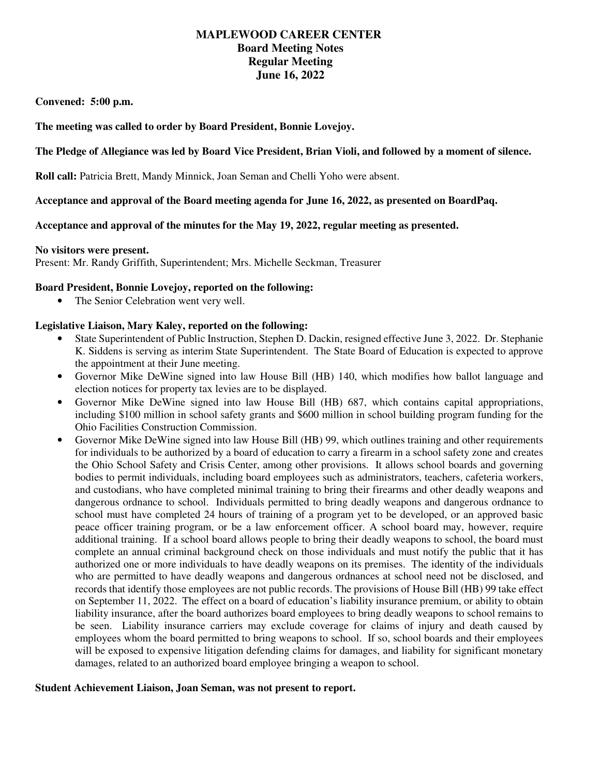# **MAPLEWOOD CAREER CENTER Board Meeting Notes Regular Meeting June 16, 2022**

 **Convened: 5:00 p.m.** 

 **The meeting was called to order by Board President, Bonnie Lovejoy.** 

### **The Pledge of Allegiance was led by Board Vice President, Brian Violi, and followed by a moment of silence.**

**Roll call:** Patricia Brett, Mandy Minnick, Joan Seman and Chelli Yoho were absent.

### **Acceptance and approval of the Board meeting agenda for June 16, 2022, as presented on BoardPaq.**

### **Acceptance and approval of the minutes for the May 19, 2022, regular meeting as presented.**

#### **No visitors were present.**

Present: Mr. Randy Griffith, Superintendent; Mrs. Michelle Seckman, Treasurer

### **Board President, Bonnie Lovejoy, reported on the following:**

• The Senior Celebration went very well.

### **Legislative Liaison, Mary Kaley, reported on the following:**

- • State Superintendent of Public Instruction, Stephen D. Dackin, resigned effective June 3, 2022. Dr. Stephanie K. Siddens is serving as interim State Superintendent. The State Board of Education is expected to approve the appointment at their June meeting.
- • Governor Mike DeWine signed into law House Bill (HB) 140, which modifies how ballot language and election notices for property tax levies are to be displayed.
- • Governor Mike DeWine signed into law House Bill (HB) 687, which contains capital appropriations, including \$100 million in school safety grants and \$600 million in school building program funding for the Ohio Facilities Construction Commission.
- • Governor Mike DeWine signed into law House Bill (HB) 99, which outlines training and other requirements for individuals to be authorized by a board of education to carry a firearm in a school safety zone and creates the Ohio School Safety and Crisis Center, among other provisions. It allows school boards and governing bodies to permit individuals, including board employees such as administrators, teachers, cafeteria workers, and custodians, who have completed minimal training to bring their firearms and other deadly weapons and dangerous ordnance to school. Individuals permitted to bring deadly weapons and dangerous ordnance to school must have completed 24 hours of training of a program yet to be developed, or an approved basic peace officer training program, or be a law enforcement officer. A school board may, however, require additional training. If a school board allows people to bring their deadly weapons to school, the board must complete an annual criminal background check on those individuals and must notify the public that it has authorized one or more individuals to have deadly weapons on its premises. The identity of the individuals who are permitted to have deadly weapons and dangerous ordnances at school need not be disclosed, and records that identify those employees are not public records. The provisions of House Bill (HB) 99 take effect on September 11, 2022. The effect on a board of education's liability insurance premium, or ability to obtain liability insurance, after the board authorizes board employees to bring deadly weapons to school remains to be seen. Liability insurance carriers may exclude coverage for claims of injury and death caused by employees whom the board permitted to bring weapons to school. If so, school boards and their employees will be exposed to expensive litigation defending claims for damages, and liability for significant monetary damages, related to an authorized board employee bringing a weapon to school.

### **Student Achievement Liaison, Joan Seman, was not present to report.**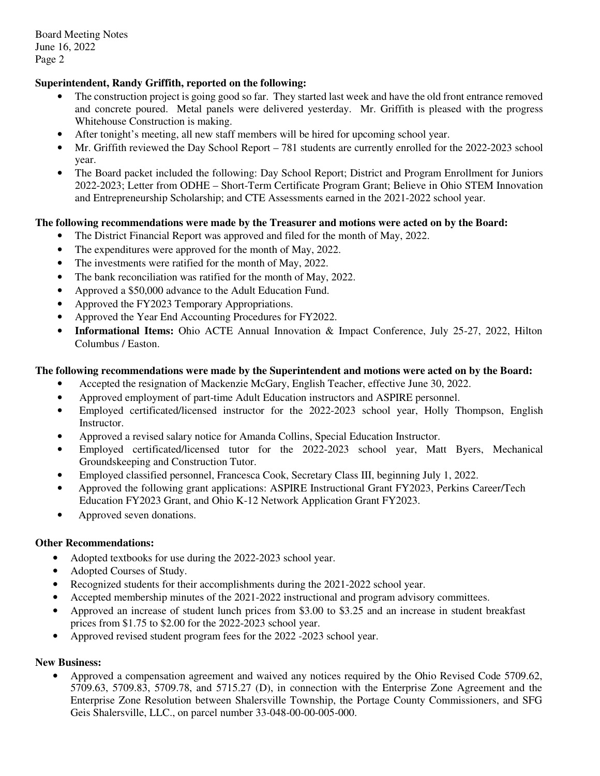Board Meeting Notes June 16, 2022 Page 2

# **Superintendent, Randy Griffith, reported on the following:**

- • The construction project is going good so far. They started last week and have the old front entrance removed and concrete poured. Metal panels were delivered yesterday. Mr. Griffith is pleased with the progress Whitehouse Construction is making.
- After tonight's meeting, all new staff members will be hired for upcoming school year.
- Mr. Griffith reviewed the Day School Report 781 students are currently enrolled for the 2022-2023 school year.
- • The Board packet included the following: Day School Report; District and Program Enrollment for Juniors 2022-2023; Letter from ODHE – Short-Term Certificate Program Grant; Believe in Ohio STEM Innovation and Entrepreneurship Scholarship; and CTE Assessments earned in the 2021-2022 school year.

### **The following recommendations were made by the Treasurer and motions were acted on by the Board:**

- The District Financial Report was approved and filed for the month of May, 2022.
- The expenditures were approved for the month of May, 2022.
- The investments were ratified for the month of May, 2022.
- The bank reconciliation was ratified for the month of May, 2022.
- Approved a \$50,000 advance to the Adult Education Fund.
- Approved the FY2023 Temporary Appropriations.
- Approved the Year End Accounting Procedures for FY2022.
- **Informational Items:** Ohio ACTE Annual Innovation & Impact Conference, July 25-27, 2022, Hilton Columbus / Easton.

### **The following recommendations were made by the Superintendent and motions were acted on by the Board:**

- Accepted the resignation of Mackenzie McGary, English Teacher, effective June 30, 2022.
- Approved employment of part-time Adult Education instructors and ASPIRE personnel.
- • Employed certificated/licensed instructor for the 2022-2023 school year, Holly Thompson, English Instructor.
- Approved a revised salary notice for Amanda Collins, Special Education Instructor.
- • Employed certificated/licensed tutor for the 2022-2023 school year, Matt Byers, Mechanical Groundskeeping and Construction Tutor.
- Employed classified personnel, Francesca Cook, Secretary Class III, beginning July 1, 2022.
- Education FY2023 Grant, and Ohio K-12 Network Application Grant FY2023. • Approved the following grant applications: ASPIRE Instructional Grant FY2023, Perkins Career/Tech
- Approved seven donations.

### **Other Recommendations:**

- Adopted textbooks for use during the 2022-2023 school year.
- Adopted Courses of Study.
- Recognized students for their accomplishments during the 2021-2022 school year.
- Accepted membership minutes of the 2021-2022 instructional and program advisory committees.
- • Approved an increase of student lunch prices from \$3.00 to \$3.25 and an increase in student breakfast prices from \$1.75 to \$2.00 for the 2022-2023 school year.
- Approved revised student program fees for the 2022 -2023 school year.

# **New Business:**

 • Approved a compensation agreement and waived any notices required by the Ohio Revised Code 5709.62, 5709.63, 5709.83, 5709.78, and 5715.27 (D), in connection with the Enterprise Zone Agreement and the Enterprise Zone Resolution between Shalersville Township, the Portage County Commissioners, and SFG Geis Shalersville, LLC., on parcel number 33-048-00-00-005-000.